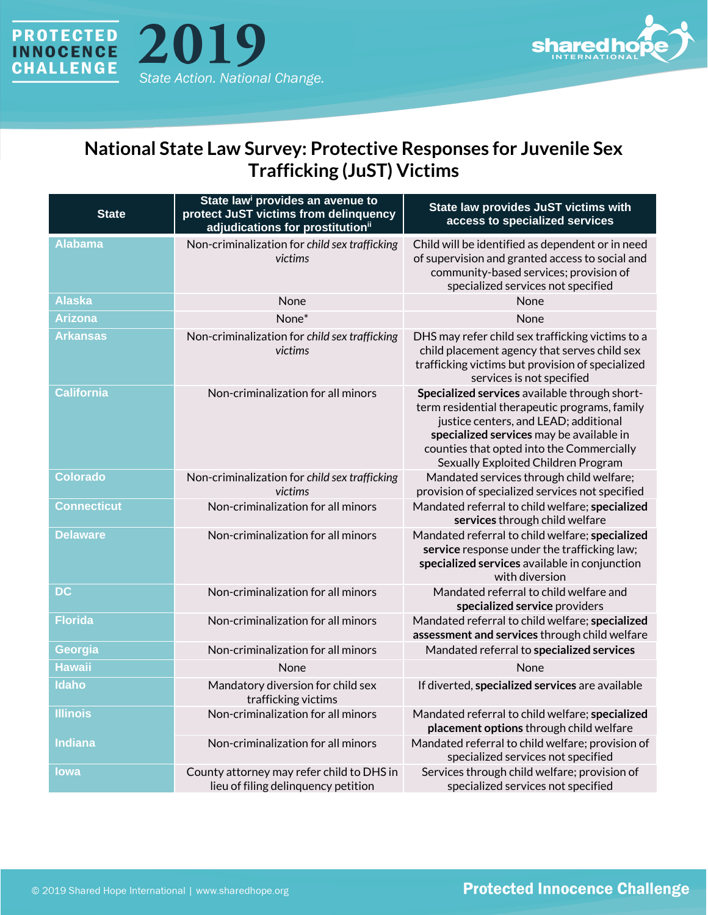



## **National State Law Survey: Protective Responses for Juvenile Sex Trafficking (JuST) Victims**

| <b>State</b>       | State law <sup>i</sup> provides an avenue to<br>protect JuST victims from delinquency<br>adjudications for prostitution <sup>ii</sup> | State law provides JuST victims with<br>access to specialized services                                                                                                                                                                                                  |
|--------------------|---------------------------------------------------------------------------------------------------------------------------------------|-------------------------------------------------------------------------------------------------------------------------------------------------------------------------------------------------------------------------------------------------------------------------|
| <b>Alabama</b>     | Non-criminalization for child sex trafficking<br>victims                                                                              | Child will be identified as dependent or in need<br>of supervision and granted access to social and<br>community-based services; provision of<br>specialized services not specified                                                                                     |
| <b>Alaska</b>      | None                                                                                                                                  | None                                                                                                                                                                                                                                                                    |
| <b>Arizona</b>     | None*                                                                                                                                 | None                                                                                                                                                                                                                                                                    |
| <b>Arkansas</b>    | Non-criminalization for child sex trafficking<br>victims                                                                              | DHS may refer child sex trafficking victims to a<br>child placement agency that serves child sex<br>trafficking victims but provision of specialized<br>services is not specified                                                                                       |
| <b>California</b>  | Non-criminalization for all minors                                                                                                    | Specialized services available through short-<br>term residential therapeutic programs, family<br>justice centers, and LEAD; additional<br>specialized services may be available in<br>counties that opted into the Commercially<br>Sexually Exploited Children Program |
| <b>Colorado</b>    | Non-criminalization for child sex trafficking<br>victims                                                                              | Mandated services through child welfare;<br>provision of specialized services not specified                                                                                                                                                                             |
| <b>Connecticut</b> | Non-criminalization for all minors                                                                                                    | Mandated referral to child welfare; specialized<br>services through child welfare                                                                                                                                                                                       |
| <b>Delaware</b>    | Non-criminalization for all minors                                                                                                    | Mandated referral to child welfare; specialized<br>service response under the trafficking law;<br>specialized services available in conjunction<br>with diversion                                                                                                       |
| DC                 | Non-criminalization for all minors                                                                                                    | Mandated referral to child welfare and<br>specialized service providers                                                                                                                                                                                                 |
| <b>Florida</b>     | Non-criminalization for all minors                                                                                                    | Mandated referral to child welfare; specialized<br>assessment and services through child welfare                                                                                                                                                                        |
| Georgia            | Non-criminalization for all minors                                                                                                    | Mandated referral to specialized services                                                                                                                                                                                                                               |
| <b>Hawaii</b>      | None                                                                                                                                  | None                                                                                                                                                                                                                                                                    |
| Idaho              | Mandatory diversion for child sex<br>trafficking victims                                                                              | If diverted, specialized services are available                                                                                                                                                                                                                         |
| <b>Illinois</b>    | Non-criminalization for all minors                                                                                                    | Mandated referral to child welfare; specialized<br>placement options through child welfare                                                                                                                                                                              |
| <b>Indiana</b>     | Non-criminalization for all minors                                                                                                    | Mandated referral to child welfare; provision of<br>specialized services not specified                                                                                                                                                                                  |
| <b>lowa</b>        | County attorney may refer child to DHS in<br>lieu of filing delinquency petition                                                      | Services through child welfare; provision of<br>specialized services not specified                                                                                                                                                                                      |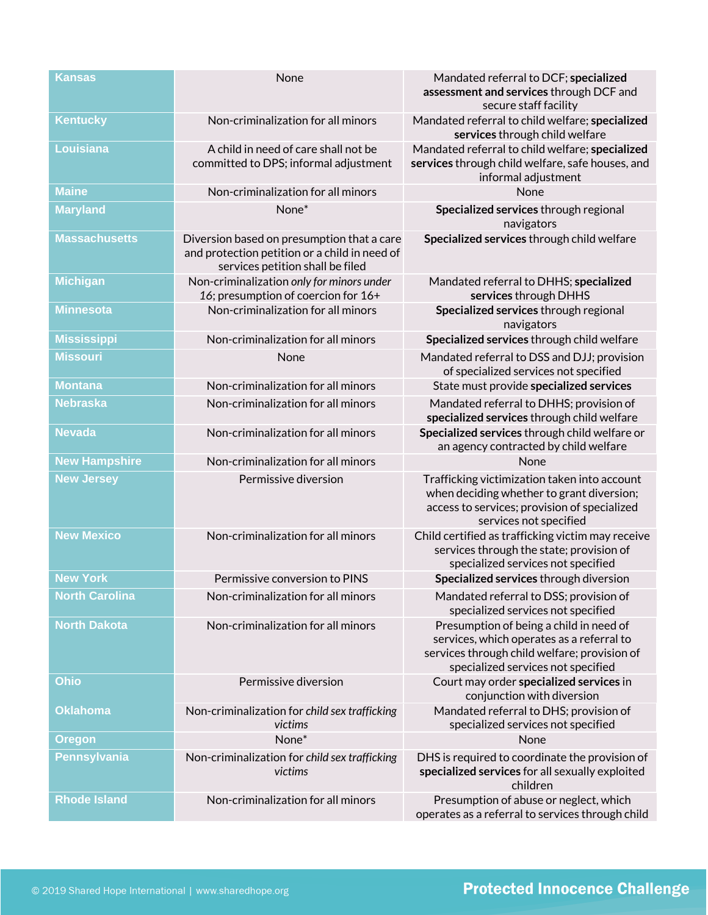| <b>Kansas</b>         | None                                                                                                                            | Mandated referral to DCF; specialized<br>assessment and services through DCF and<br>secure staff facility                                                                  |
|-----------------------|---------------------------------------------------------------------------------------------------------------------------------|----------------------------------------------------------------------------------------------------------------------------------------------------------------------------|
| <b>Kentucky</b>       | Non-criminalization for all minors                                                                                              | Mandated referral to child welfare; specialized<br>services through child welfare                                                                                          |
| Louisiana             | A child in need of care shall not be<br>committed to DPS; informal adjustment                                                   | Mandated referral to child welfare; specialized<br>services through child welfare, safe houses, and<br>informal adjustment                                                 |
| <b>Maine</b>          | Non-criminalization for all minors                                                                                              | None                                                                                                                                                                       |
| <b>Maryland</b>       | None*                                                                                                                           | Specialized services through regional<br>navigators                                                                                                                        |
| <b>Massachusetts</b>  | Diversion based on presumption that a care<br>and protection petition or a child in need of<br>services petition shall be filed | Specialized services through child welfare                                                                                                                                 |
| <b>Michigan</b>       | Non-criminalization only for minors under<br>16; presumption of coercion for 16+                                                | Mandated referral to DHHS; specialized<br>services through DHHS                                                                                                            |
| <b>Minnesota</b>      | Non-criminalization for all minors                                                                                              | Specialized services through regional<br>navigators                                                                                                                        |
| <b>Mississippi</b>    | Non-criminalization for all minors                                                                                              | Specialized services through child welfare                                                                                                                                 |
| <b>Missouri</b>       | None                                                                                                                            | Mandated referral to DSS and DJJ; provision<br>of specialized services not specified                                                                                       |
| <b>Montana</b>        | Non-criminalization for all minors                                                                                              | State must provide specialized services                                                                                                                                    |
| <b>Nebraska</b>       | Non-criminalization for all minors                                                                                              | Mandated referral to DHHS; provision of<br>specialized services through child welfare                                                                                      |
| <b>Nevada</b>         | Non-criminalization for all minors                                                                                              | Specialized services through child welfare or<br>an agency contracted by child welfare                                                                                     |
| <b>New Hampshire</b>  | Non-criminalization for all minors                                                                                              | None                                                                                                                                                                       |
| <b>New Jersey</b>     | Permissive diversion                                                                                                            | Trafficking victimization taken into account<br>when deciding whether to grant diversion;<br>access to services; provision of specialized<br>services not specified        |
| <b>New Mexico</b>     | Non-criminalization for all minors                                                                                              | Child certified as trafficking victim may receive<br>services through the state; provision of<br>specialized services not specified                                        |
| <b>New York</b>       | Permissive conversion to PINS                                                                                                   | Specialized services through diversion                                                                                                                                     |
| <b>North Carolina</b> | Non-criminalization for all minors                                                                                              | Mandated referral to DSS; provision of<br>specialized services not specified                                                                                               |
| <b>North Dakota</b>   | Non-criminalization for all minors                                                                                              | Presumption of being a child in need of<br>services, which operates as a referral to<br>services through child welfare; provision of<br>specialized services not specified |
| Ohio                  | Permissive diversion                                                                                                            | Court may order specialized services in<br>conjunction with diversion                                                                                                      |
| <b>Oklahoma</b>       | Non-criminalization for child sex trafficking<br>victims                                                                        | Mandated referral to DHS; provision of<br>specialized services not specified                                                                                               |
| <b>Oregon</b>         | None*                                                                                                                           | None                                                                                                                                                                       |
| <b>Pennsylvania</b>   | Non-criminalization for child sex trafficking<br>victims                                                                        | DHS is required to coordinate the provision of<br>specialized services for all sexually exploited<br>children                                                              |
| <b>Rhode Island</b>   | Non-criminalization for all minors                                                                                              | Presumption of abuse or neglect, which<br>operates as a referral to services through child                                                                                 |